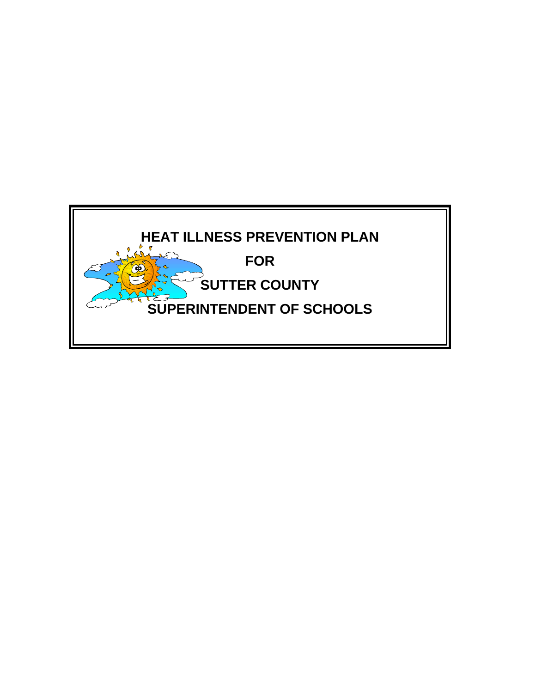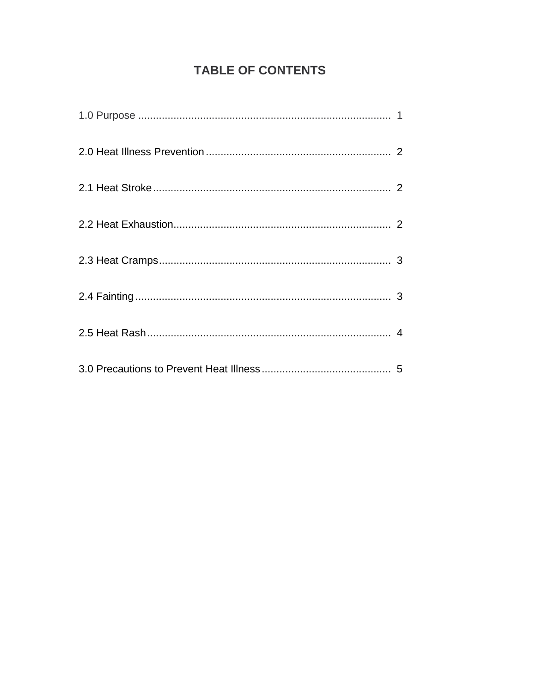# **TABLE OF CONTENTS**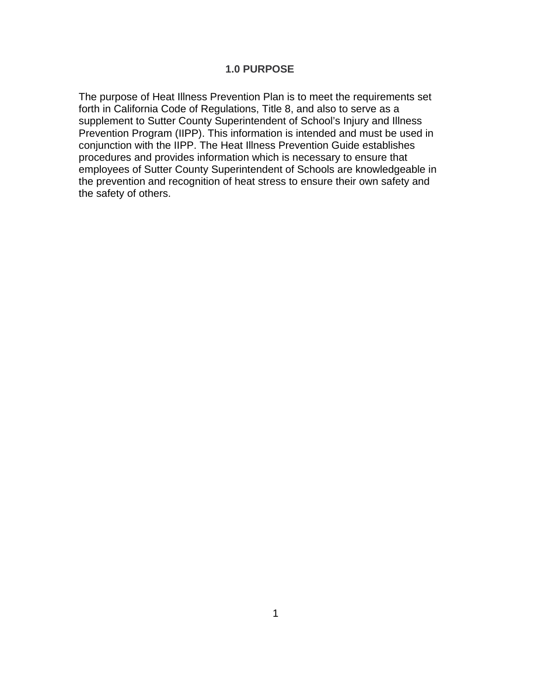#### **1.0 PURPOSE**

The purpose of Heat Illness Prevention Plan is to meet the requirements set forth in California Code of Regulations, Title 8, and also to serve as a supplement to Sutter County Superintendent of School's Injury and Illness Prevention Program (IIPP). This information is intended and must be used in conjunction with the IIPP. The Heat Illness Prevention Guide establishes procedures and provides information which is necessary to ensure that employees of Sutter County Superintendent of Schools are knowledgeable in the prevention and recognition of heat stress to ensure their own safety and the safety of others.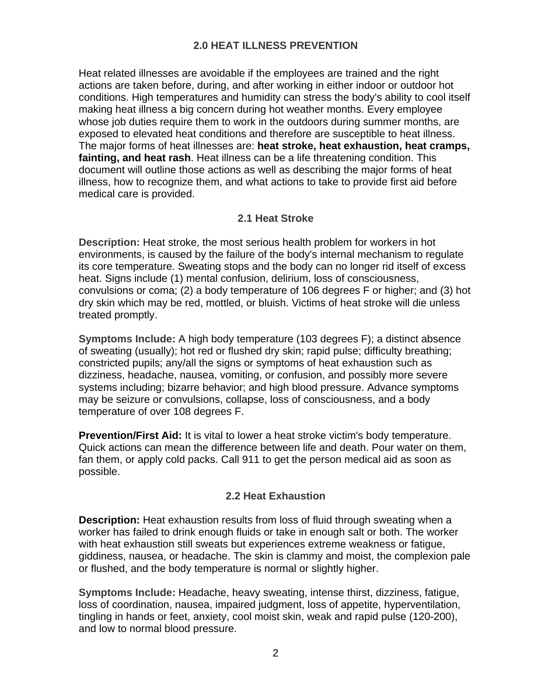# **2.0 HEAT ILLNESS PREVENTION**

Heat related illnesses are avoidable if the employees are trained and the right actions are taken before, during, and after working in either indoor or outdoor hot conditions. High temperatures and humidity can stress the body's ability to cool itself making heat illness a big concern during hot weather months. Every employee whose job duties require them to work in the outdoors during summer months, are exposed to elevated heat conditions and therefore are susceptible to heat illness. The major forms of heat illnesses are: **heat stroke, heat exhaustion, heat cramps, fainting, and heat rash**. Heat illness can be a life threatening condition. This document will outline those actions as well as describing the major forms of heat illness, how to recognize them, and what actions to take to provide first aid before medical care is provided.

## **2.1 Heat Stroke**

**Description:** Heat stroke, the most serious health problem for workers in hot environments, is caused by the failure of the body's internal mechanism to regulate its core temperature. Sweating stops and the body can no longer rid itself of excess heat. Signs include (1) mental confusion, delirium, loss of consciousness, convulsions or coma; (2) a body temperature of 106 degrees F or higher; and (3) hot dry skin which may be red, mottled, or bluish. Victims of heat stroke will die unless treated promptly.

**Symptoms Include:** A high body temperature (103 degrees F); a distinct absence of sweating (usually); hot red or flushed dry skin; rapid pulse; difficulty breathing; constricted pupils; any/all the signs or symptoms of heat exhaustion such as dizziness, headache, nausea, vomiting, or confusion, and possibly more severe systems including; bizarre behavior; and high blood pressure. Advance symptoms may be seizure or convulsions, collapse, loss of consciousness, and a body temperature of over 108 degrees F.

**Prevention/First Aid:** It is vital to lower a heat stroke victim's body temperature. Quick actions can mean the difference between life and death. Pour water on them, fan them, or apply cold packs. Call 911 to get the person medical aid as soon as possible.

### **2.2 Heat Exhaustion**

**Description:** Heat exhaustion results from loss of fluid through sweating when a worker has failed to drink enough fluids or take in enough salt or both. The worker with heat exhaustion still sweats but experiences extreme weakness or fatigue, giddiness, nausea, or headache. The skin is clammy and moist, the complexion pale or flushed, and the body temperature is normal or slightly higher.

**Symptoms Include:** Headache, heavy sweating, intense thirst, dizziness, fatigue, loss of coordination, nausea, impaired judgment, loss of appetite, hyperventilation, tingling in hands or feet, anxiety, cool moist skin, weak and rapid pulse (120-200), and low to normal blood pressure.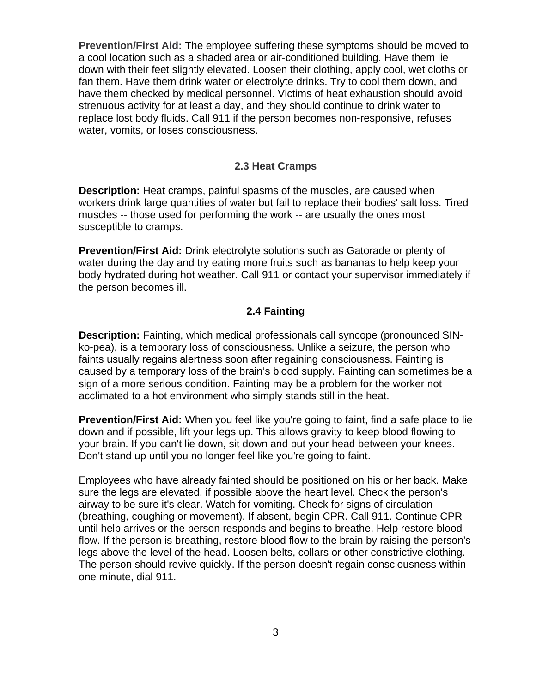**Prevention/First Aid:** The employee suffering these symptoms should be moved to a cool location such as a shaded area or air-conditioned building. Have them lie down with their feet slightly elevated. Loosen their clothing, apply cool, wet cloths or fan them. Have them drink water or electrolyte drinks. Try to cool them down, and have them checked by medical personnel. Victims of heat exhaustion should avoid strenuous activity for at least a day, and they should continue to drink water to replace lost body fluids. Call 911 if the person becomes non-responsive, refuses water, vomits, or loses consciousness.

#### **2.3 Heat Cramps**

**Description:** Heat cramps, painful spasms of the muscles, are caused when workers drink large quantities of water but fail to replace their bodies' salt loss. Tired muscles -- those used for performing the work -- are usually the ones most susceptible to cramps.

**Prevention/First Aid:** Drink electrolyte solutions such as Gatorade or plenty of water during the day and try eating more fruits such as bananas to help keep your body hydrated during hot weather. Call 911 or contact your supervisor immediately if the person becomes ill.

#### **2.4 Fainting**

**Description:** Fainting, which medical professionals call syncope (pronounced SINko-pea), is a temporary loss of consciousness. Unlike a seizure, the person who faints usually regains alertness soon after regaining consciousness. Fainting is caused by a temporary loss of the brain's blood supply. Fainting can sometimes be a sign of a more serious condition. Fainting may be a problem for the worker not acclimated to a hot environment who simply stands still in the heat.

**Prevention/First Aid:** When you feel like you're going to faint, find a safe place to lie down and if possible, lift your legs up. This allows gravity to keep blood flowing to your brain. If you can't lie down, sit down and put your head between your knees. Don't stand up until you no longer feel like you're going to faint.

Employees who have already fainted should be positioned on his or her back. Make sure the legs are elevated, if possible above the heart level. Check the person's airway to be sure it's clear. Watch for vomiting. Check for signs of circulation (breathing, coughing or movement). If absent, begin CPR. Call 911. Continue CPR until help arrives or the person responds and begins to breathe. Help restore blood flow. If the person is breathing, restore blood flow to the brain by raising the person's legs above the level of the head. Loosen belts, collars or other constrictive clothing. The person should revive quickly. If the person doesn't regain consciousness within one minute, dial 911.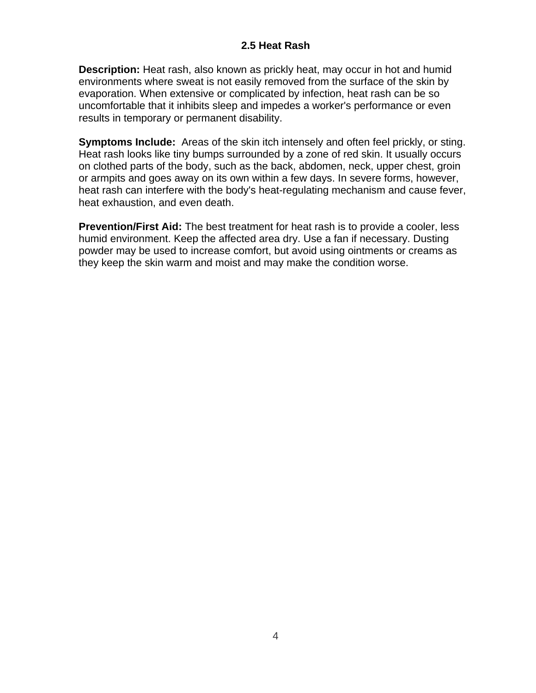## **2.5 Heat Rash**

**Description:** Heat rash, also known as prickly heat, may occur in hot and humid environments where sweat is not easily removed from the surface of the skin by evaporation. When extensive or complicated by infection, heat rash can be so uncomfortable that it inhibits sleep and impedes a worker's performance or even results in temporary or permanent disability.

**Symptoms Include:** Areas of the skin itch intensely and often feel prickly, or sting. Heat rash looks like tiny bumps surrounded by a zone of red skin. It usually occurs on clothed parts of the body, such as the back, abdomen, neck, upper chest, groin or armpits and goes away on its own within a few days. In severe forms, however, heat rash can interfere with the body's heat-regulating mechanism and cause fever, heat exhaustion, and even death.

**Prevention/First Aid:** The best treatment for heat rash is to provide a cooler, less humid environment. Keep the affected area dry. Use a fan if necessary. Dusting powder may be used to increase comfort, but avoid using ointments or creams as they keep the skin warm and moist and may make the condition worse.